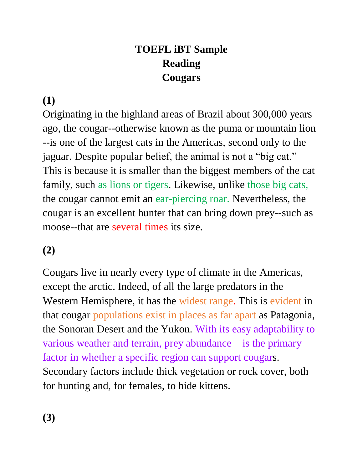# **TOEFL iBT Sample Reading Cougars**

### **(1)**

Originating in the highland areas of Brazil about 300,000 years ago, the cougar--otherwise known as the puma or mountain lion --is one of the largest cats in the Americas, second only to the jaguar. Despite popular belief, the animal is not a "big cat." This is because it is smaller than the biggest members of the cat family, such as lions or tigers. Likewise, unlike those big cats, the cougar cannot emit an ear-piercing roar. Nevertheless, the cougar is an excellent hunter that can bring down prey--such as moose--that are several times its size.

### **(2)**

Cougars live in nearly every type of climate in the Americas, except the arctic. Indeed, of all the large predators in the Western Hemisphere, it has the widest range. This is evident in that cougar populations exist in places as far apart as Patagonia, the Sonoran Desert and the Yukon. With its easy adaptability to various weather and terrain, prey abundance is the primary factor in whether a specific region can support cougars. Secondary factors include thick vegetation or rock cover, both for hunting and, for females, to hide kittens.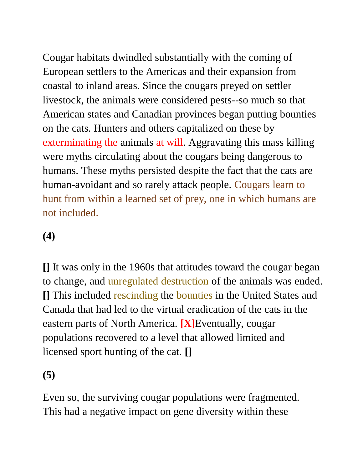Cougar habitats dwindled substantially with the coming of European settlers to the Americas and their expansion from coastal to inland areas. Since the cougars preyed on settler livestock, the animals were considered pests--so much so that American states and Canadian provinces began putting bounties on the cats. Hunters and others capitalized on these by exterminating the animals at will. Aggravating this mass killing were myths circulating about the cougars being dangerous to humans. These myths persisted despite the fact that the cats are human-avoidant and so rarely attack people. Cougars learn to hunt from within a learned set of prey, one in which humans are not included.

# **(4)**

**[]** It was only in the 1960s that attitudes toward the cougar began to change, and unregulated destruction of the animals was ended. **[]** This included rescinding the bounties in the United States and Canada that had led to the virtual eradication of the cats in the eastern parts of North America. **[X]**Eventually, cougar populations recovered to a level that allowed limited and licensed sport hunting of the cat. **[]**

**(5)**

Even so, the surviving cougar populations were fragmented. This had a negative impact on gene diversity within these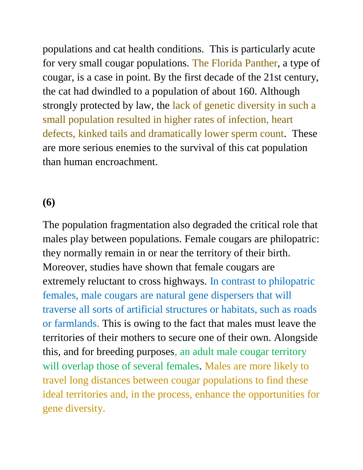populations and cat health conditions. This is particularly acute for very small cougar populations. The Florida Panther, a type of cougar, is a case in point. By the first decade of the 21st century, the cat had dwindled to a population of about 160. Although strongly protected by law, the lack of genetic diversity in such a small population resulted in higher rates of infection, heart defects, kinked tails and dramatically lower sperm count. These are more serious enemies to the survival of this cat population than human encroachment.

#### **(6)**

The population fragmentation also degraded the critical role that males play between populations. Female cougars are philopatric: they normally remain in or near the territory of their birth. Moreover, studies have shown that female cougars are extremely reluctant to cross highways. In contrast to philopatric females, male cougars are natural gene dispersers that will traverse all sorts of artificial structures or habitats, such as roads or farmlands. This is owing to the fact that males must leave the territories of their mothers to secure one of their own. Alongside this, and for breeding purposes, an adult male cougar territory will overlap those of several females. Males are more likely to travel long distances between cougar populations to find these ideal territories and, in the process, enhance the opportunities for gene diversity.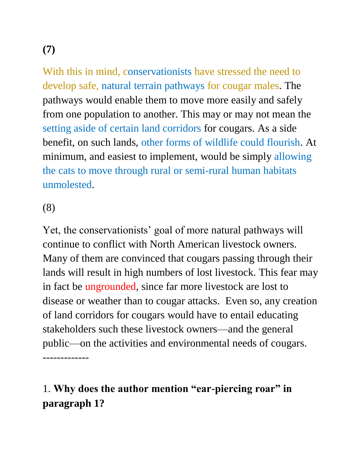# **(7)**

With this in mind, conservationists have stressed the need to develop safe, natural terrain pathways for cougar males. The pathways would enable them to move more easily and safely from one population to another. This may or may not mean the setting aside of certain land corridors for cougars. As a side benefit, on such lands, other forms of wildlife could flourish. At minimum, and easiest to implement, would be simply allowing the cats to move through rural or semi-rural human habitats unmolested.

(8)

Yet, the conservationists' goal of more natural pathways will continue to conflict with North American livestock owners. Many of them are convinced that cougars passing through their lands will result in high numbers of lost livestock. This fear may in fact be ungrounded, since far more livestock are lost to disease or weather than to cougar attacks. Even so, any creation of land corridors for cougars would have to entail educating stakeholders such these livestock owners—and the general public—on the activities and environmental needs of cougars. -------------

# 1. **Why does the author mention "ear-piercing roar" in paragraph 1?**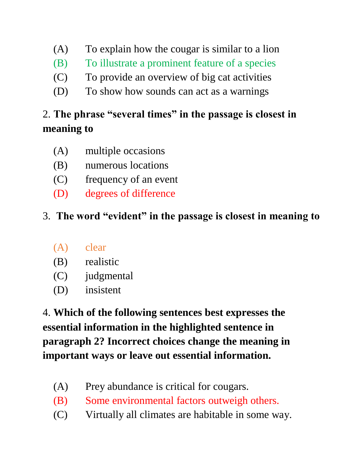- (A) To explain how the cougar is similar to a lion
- (B) To illustrate a prominent feature of a species
- (C) To provide an overview of big cat activities
- (D) To show how sounds can act as a warnings

# 2. **The phrase "several times" in the passage is closest in meaning to**

- (A) multiple occasions
- (B) numerous locations
- (C) frequency of an event
- (D) degrees of difference

### 3. **The word "evident" in the passage is closest in meaning to**

- (A) clear
- (B) realistic
- (C) judgmental
- (D) insistent

4. **Which of the following sentences best expresses the essential information in the highlighted sentence in paragraph 2? Incorrect choices change the meaning in important ways or leave out essential information.** 

- (A) Prey abundance is critical for cougars.
- (B) Some environmental factors outweigh others.
- (C) Virtually all climates are habitable in some way.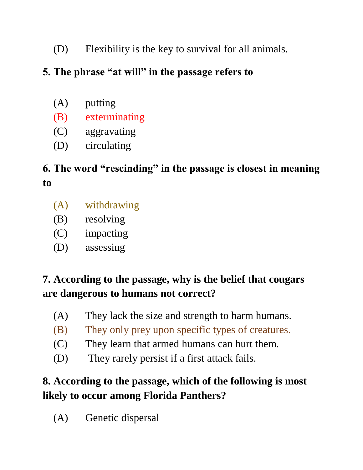(D) Flexibility is the key to survival for all animals.

### **5. The phrase "at will" in the passage refers to**

- (A) putting
- (B) exterminating
- (C) aggravating
- (D) circulating

# **6. The word "rescinding" in the passage is closest in meaning to**

- (A) withdrawing
- (B) resolving
- (C) impacting
- (D) assessing

### **7. According to the passage, why is the belief that cougars are dangerous to humans not correct?**

- (A) They lack the size and strength to harm humans.
- (B) They only prey upon specific types of creatures.
- (C) They learn that armed humans can hurt them.
- (D) They rarely persist if a first attack fails.

## **8. According to the passage, which of the following is most likely to occur among Florida Panthers?**

(A) Genetic dispersal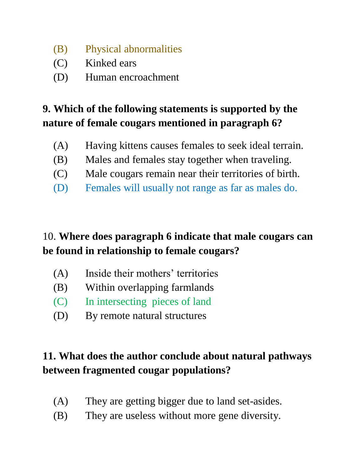- (B) Physical abnormalities
- (C) Kinked ears
- (D) Human encroachment

### **9. Which of the following statements is supported by the nature of female cougars mentioned in paragraph 6?**

- (A) Having kittens causes females to seek ideal terrain.
- (B) Males and females stay together when traveling.
- (C) Male cougars remain near their territories of birth.
- (D) Females will usually not range as far as males do.

### 10. **Where does paragraph 6 indicate that male cougars can be found in relationship to female cougars?**

- (A) Inside their mothers' territories
- (B) Within overlapping farmlands
- (C) In intersecting pieces of land
- (D) By remote natural structures

### **11. What does the author conclude about natural pathways between fragmented cougar populations?**

- (A) They are getting bigger due to land set-asides.
- (B) They are useless without more gene diversity.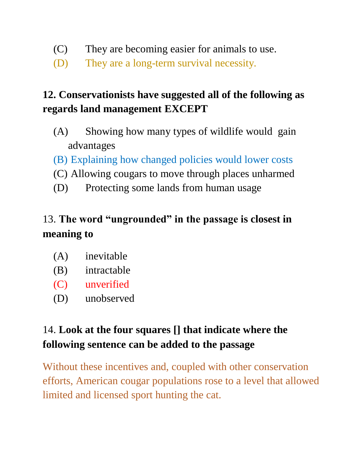- (C) They are becoming easier for animals to use.
- (D) They are a long-term survival necessity.

# **12. Conservationists have suggested all of the following as regards land management EXCEPT**

- (A) Showing how many types of wildlife would gain advantages
- (B) Explaining how changed policies would lower costs
- (C) Allowing cougars to move through places unharmed
- (D) Protecting some lands from human usage

# 13. **The word "ungrounded" in the passage is closest in meaning to**

- (A) inevitable
- (B) intractable
- (C) unverified
- (D) unobserved

# 14. **Look at the four squares [] that indicate where the following sentence can be added to the passage**

Without these incentives and, coupled with other conservation efforts, American cougar populations rose to a level that allowed limited and licensed sport hunting the cat.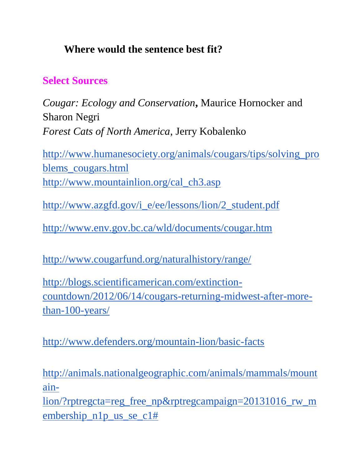### **Where would the sentence best fit?**

#### **Select Sources**

*Cougar: Ecology and Conservation***,** Maurice Hornocker and Sharon Negri *Forest Cats of North America*, Jerry Kobalenko

[http://www.humanesociety.org/animals/cougars/tips/solving\\_pro](http://www.humanesociety.org/animals/cougars/tips/solving_problems_cougars.html) [blems\\_cougars.html](http://www.humanesociety.org/animals/cougars/tips/solving_problems_cougars.html) [http://www.mountainlion.org/cal\\_ch3.asp](http://www.mountainlion.org/cal_ch3.asp)

[http://www.azgfd.gov/i\\_e/ee/lessons/lion/2\\_student.pdf](http://www.azgfd.gov/i_e/ee/lessons/lion/2_student.pdf)

<http://www.env.gov.bc.ca/wld/documents/cougar.htm>

<http://www.cougarfund.org/naturalhistory/range/>

[http://blogs.scientificamerican.com/extinction](http://blogs.scientificamerican.com/extinction-countdown/2012/06/14/cougars-returning-midwest-after-more-than-100-years/)[countdown/2012/06/14/cougars-returning-midwest-after-more](http://blogs.scientificamerican.com/extinction-countdown/2012/06/14/cougars-returning-midwest-after-more-than-100-years/)[than-100-years/](http://blogs.scientificamerican.com/extinction-countdown/2012/06/14/cougars-returning-midwest-after-more-than-100-years/)

<http://www.defenders.org/mountain-lion/basic-facts>

[http://animals.nationalgeographic.com/animals/mammals/mount](http://animals.nationalgeographic.com/animals/mammals/mountain-lion/?rptregcta=reg_free_np&rptregcampaign=20131016_rw_membership_n1p_us_se_c1) [ain-](http://animals.nationalgeographic.com/animals/mammals/mountain-lion/?rptregcta=reg_free_np&rptregcampaign=20131016_rw_membership_n1p_us_se_c1)

[lion/?rptregcta=reg\\_free\\_np&rptregcampaign=20131016\\_rw\\_m](http://animals.nationalgeographic.com/animals/mammals/mountain-lion/?rptregcta=reg_free_np&rptregcampaign=20131016_rw_membership_n1p_us_se_c1) embership n1p us se  $c1#$